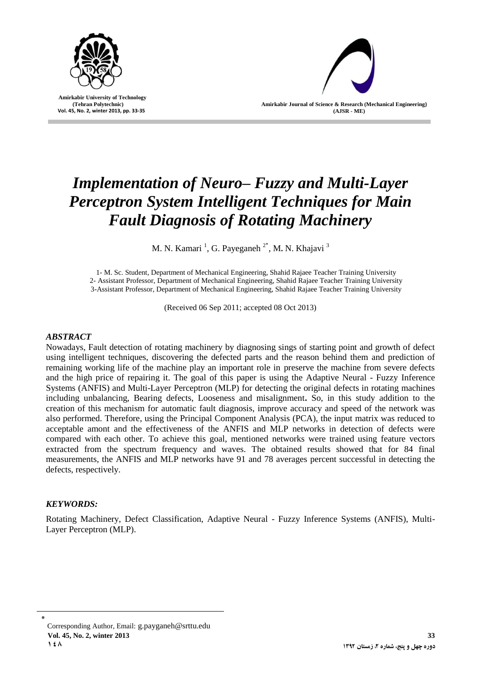

 **Amirkabir University of Technology (Tehran Polytechnic) Vol. 45, No. 2, winter 2013, pp. 33-35**

**Amirkabir Journal of Science & Research (Mechanical Engineering) (AJSR - ME)**

# *Implementation of Neuro– Fuzzy and Multi-Layer Perceptron System Intelligent Techniques for Main Fault Diagnosis of Rotating Machinery*

M. N. Kamari<sup>1</sup>, G. Payeganeh<sup>2\*</sup>, M. N. Khajavi<sup>3</sup>

1- M. Sc. Student, Department of Mechanical Engineering, Shahid Rajaee Teacher Training University 2- Assistant Professor, Department of Mechanical Engineering, Shahid Rajaee Teacher Training University 3-Assistant Professor, Department of Mechanical Engineering, Shahid Rajaee Teacher Training University

(Received 06 Sep 2011; accepted 08 Oct 2013)

# *ABSTRACT*

Nowadays, Fault detection of rotating machinery by diagnosing sings of starting point and growth of defect using intelligent techniques, discovering the defected parts and the reason behind them and prediction of remaining working life of the machine play an important role in preserve the machine from severe defects and the high price of repairing it. The goal of this paper is using the Adaptive Neural - Fuzzy Inference Systems (ANFIS) and Multi-Layer Perceptron (MLP) for detecting the original defects in rotating machines including unbalancing, Bearing defects, Looseness and misalignment**.** So, in this study addition to the creation of this mechanism for automatic fault diagnosis, improve accuracy and speed of the network was also performed. Therefore, using the Principal Component Analysis (PCA), the input matrix was reduced to acceptable amont and the effectiveness of the ANFIS and MLP networks in detection of defects were compared with each other. To achieve this goal, mentioned networks were trained using feature vectors extracted from the spectrum frequency and waves. The obtained results showed that for 84 final measurements, the ANFIS and MLP networks have 91 and 78 averages percent successful in detecting the defects, respectively.

## *KEYWORDS:*

Rotating Machinery, Defect Classification, Adaptive Neural - Fuzzy Inference Systems (ANFIS), Multi-Layer Perceptron (MLP).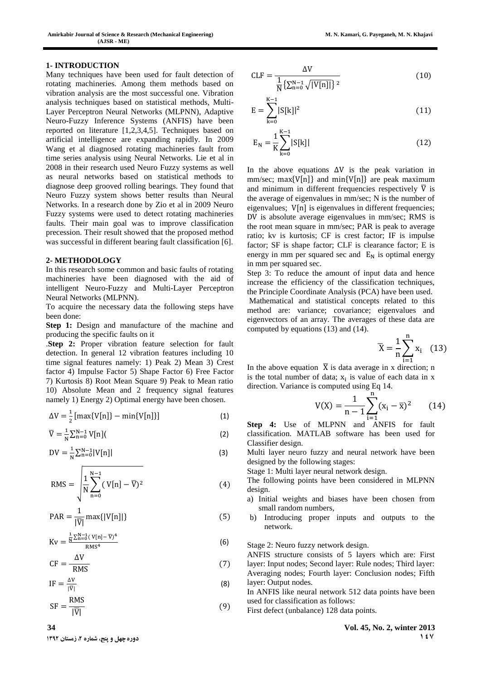#### **1- INTRODUCTION**

Many techniques have been used for fault detection of rotating machineries. Among them methods based on vibration analysis are the most successful one. Vibration analysis techniques based on statistical methods, Multi-Layer Perceptron Neural Networks (MLPNN), Adaptive Neuro-Fuzzy Inference Systems (ANFIS) have been reported on literature [1,2,3,4,5]. Techniques based on artificial intelligence are expanding rapidly. In 2009 Wang et al diagnosed rotating machineries fault from time series analysis using Neural Networks. Lie et al in 2008 in their research used Neuro Fuzzy systems as well as neural networks based on statistical methods to diagnose deep grooved rolling bearings. They found that Neuro Fuzzy system shows better results than Neural Networks. In a research done by Zio et al in 2009 Neuro Fuzzy systems were used to detect rotating machineries faults. Their main goal was to improve classification precession. Their result showed that the proposed method was successful in different bearing fault classification [6].

#### **2- METHODOLOGY**

In this research some common and basic faults of rotating machineries have been diagnosed with the aid of intelligent Neuro-Fuzzy and Multi-Layer Perceptron Neural Networks (MLPNN).

To acquire the necessary data the following steps have been done:

**Step 1:** Design and manufacture of the machine and producing the specific faults on it

.**Step 2:** Proper vibration feature selection for fault detection. In general 12 vibration features including 10 time signal features namely: 1) Peak 2) Mean 3) Crest factor 4) Impulse Factor 5) Shape Factor 6) Free Factor 7) Kurtosis 8) Root Mean Square 9) Peak to Mean ratio 10) Absolute Mean and 2 frequency signal features namely 1) Energy 2) Optimal energy have been chosen.

$$
\Delta V = \frac{1}{2} [\max\{V[n]\} - \min\{V[n]\}]
$$
 (1)

$$
\overline{V} = \frac{1}{N} \sum_{n=0}^{N-1} V[n] \tag{2}
$$

$$
DV = \frac{1}{N} \sum_{n=0}^{N-1} |V[n]|
$$
 (3)

$$
RMS = \sqrt{\frac{1}{N} \sum_{n=0}^{N-1} (V[n] - \overline{V})^2}
$$
 (4)

$$
PAR = \frac{1}{|\overline{V}|} \max\{|V[n]|\}\tag{5}
$$

$$
Kv = \frac{\frac{1}{N} \sum_{n=0}^{N-1} (V[n] - \overline{V})^4}{RMS^4}
$$
 (6)

$$
CF = \frac{\Delta V}{RMS}
$$
 (7)

$$
IF = \frac{\Delta V}{|\overline{V}|} \tag{8}
$$

$$
SF = \frac{RMS}{|\overline{V}|} \tag{9}
$$

$$
CLF = \frac{\Delta V}{\frac{1}{N} \{ \sum_{n=0}^{N-1} \sqrt{|V[n]|} \}^2}
$$
(10)

$$
E = \sum_{k=0}^{K-1} |S[k]|^2
$$
 (11)

$$
E_N = \frac{1}{K} \sum_{k=0}^{K-1} |S[k]|
$$
 (12)

In the above equations  $\Delta V$  is the peak variation in  $mm/sec$ ;  $max\{V[n]\}$  and  $min\{V[n]\}$  are peak maximum and minimum in different frequencies respectively  $\overline{V}$  is the average of eigenvalues in mm/sec; N is the number of eigenvalues;  $V[n]$  is eigenvalues in different frequencies; DV is absolute average eigenvalues in mm/sec; RMS is the root mean square in mm/sec; PAR is peak to average ratio; kv is kurtosis; CF is crest factor; IF is impulse factor; SF is shape factor; CLF is clearance factor; E is energy in mm per squared sec and  $E_N$  is optimal energy in mm per squared sec.

Step 3: To reduce the amount of input data and hence increase the efficiency of the classification techniques, the Principle Coordinate Analysis (PCA) have been used. Mathematical and statistical concepts related to this method are: variance; covariance; eigenvalues and eigenvectors of an array. The averages of these data are computed by equations (13) and (14).

$$
\overline{X} = \frac{1}{n} \sum_{i=1}^{n} x_i \quad (13)
$$

In the above equation  $\bar{X}$  is data average in x direction; n is the total number of data;  $x_i$  is value of each data in x direction. Variance is computed using Eq 14.

$$
V(X) = \frac{1}{n-1} \sum_{i=1}^{n} (x_i - \overline{x})^2
$$
 (14)

**Step 4:** Use of MLPNN and ANFIS for fault classification. MATLAB software has been used for Classifier design.

Multi layer neuro fuzzy and neural network have been designed by the following stages:

Stage 1: Multi layer neural network design.

The following points have been considered in MLPNN design.

- a) Initial weights and biases have been chosen from small random numbers,
- b) Introducing proper inputs and outputs to the network.
- Stage 2: Neuro fuzzy network design.

ANFIS structure consists of 5 layers which are: First layer: Input nodes; Second layer: Rule nodes; Third layer: Averaging nodes; Fourth layer: Conclusion nodes; Fifth layer: Output nodes.

- In ANFIS like neural network 512 data points have been used for classification as follows:
- First defect (unbalance) 128 data points.